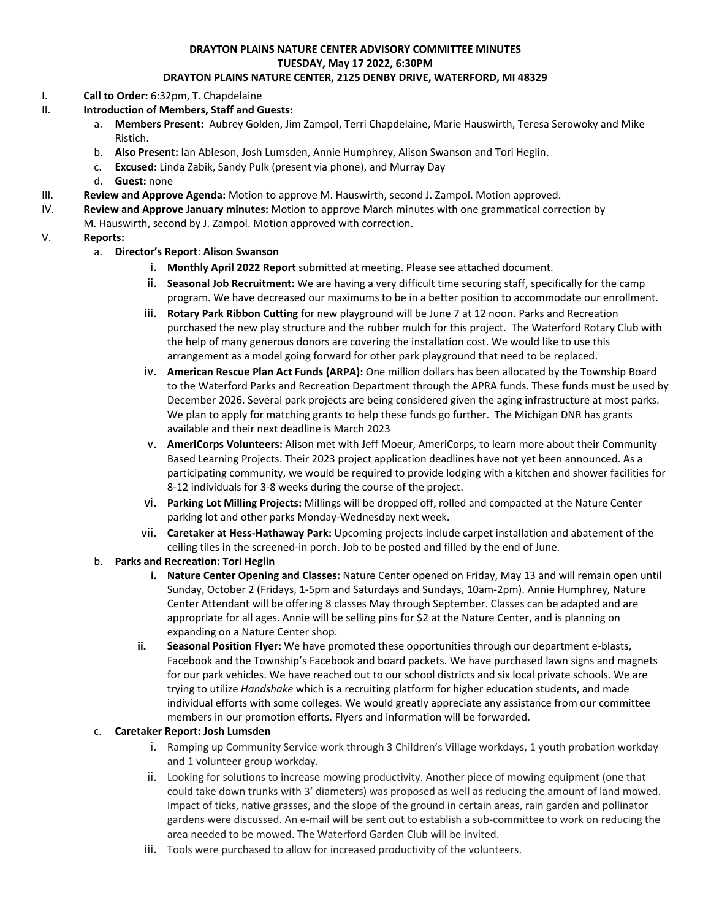### **DRAYTON PLAINS NATURE CENTER ADVISORY COMMITTEE MINUTES TUESDAY, May 17 2022, 6:30PM DRAYTON PLAINS NATURE CENTER, 2125 DENBY DRIVE, WATERFORD, MI 48329**

#### I. **Call to Order:** 6:32pm, T. Chapdelaine

- II. **Introduction of Members, Staff and Guests:**
	- a. **Members Present:** Aubrey Golden, Jim Zampol, Terri Chapdelaine, Marie Hauswirth, Teresa Serowoky and Mike Ristich.
	- b. **Also Present:** Ian Ableson, Josh Lumsden, Annie Humphrey, Alison Swanson and Tori Heglin.
	- c. **Excused:** Linda Zabik, Sandy Pulk (present via phone), and Murray Day
	- d. **Guest:** none
- III. **Review and Approve Agenda:** Motion to approve M. Hauswirth, second J. Zampol. Motion approved.
- IV. **Review and Approve January minutes:** Motion to approve March minutes with one grammatical correction by
- M. Hauswirth, second by J. Zampol. Motion approved with correction.

## V. **Reports:**

- a. **Director's Report**: **Alison Swanson**
	- i. **Monthly April 2022 Report** submitted at meeting. Please see attached document.
	- ii. **Seasonal Job Recruitment:** We are having a very difficult time securing staff, specifically for the camp program. We have decreased our maximums to be in a better position to accommodate our enrollment.
	- iii. **Rotary Park Ribbon Cutting** for new playground will be June 7 at 12 noon. Parks and Recreation purchased the new play structure and the rubber mulch for this project. The Waterford Rotary Club with the help of many generous donors are covering the installation cost. We would like to use this arrangement as a model going forward for other park playground that need to be replaced.
	- iv. **American Rescue Plan Act Funds (ARPA):** One million dollars has been allocated by the Township Board to the Waterford Parks and Recreation Department through the APRA funds. These funds must be used by December 2026. Several park projects are being considered given the aging infrastructure at most parks. We plan to apply for matching grants to help these funds go further. The Michigan DNR has grants available and their next deadline is March 2023
	- v. **AmeriCorps Volunteers:** Alison met with Jeff Moeur, AmeriCorps, to learn more about their Community Based Learning Projects. Their 2023 project application deadlines have not yet been announced. As a participating community, we would be required to provide lodging with a kitchen and shower facilities for 8-12 individuals for 3-8 weeks during the course of the project.
	- vi. **Parking Lot Milling Projects:** Millings will be dropped off, rolled and compacted at the Nature Center parking lot and other parks Monday-Wednesday next week.
	- vii. **Caretaker at Hess-Hathaway Park:** Upcoming projects include carpet installation and abatement of the ceiling tiles in the screened-in porch. Job to be posted and filled by the end of June.

### b. **Parks and Recreation: Tori Heglin**

- **i. Nature Center Opening and Classes:** Nature Center opened on Friday, May 13 and will remain open until Sunday, October 2 (Fridays, 1-5pm and Saturdays and Sundays, 10am-2pm). Annie Humphrey, Nature Center Attendant will be offering 8 classes May through September. Classes can be adapted and are appropriate for all ages. Annie will be selling pins for \$2 at the Nature Center, and is planning on expanding on a Nature Center shop.
- **ii. Seasonal Position Flyer:** We have promoted these opportunities through our department e-blasts, Facebook and the Township's Facebook and board packets. We have purchased lawn signs and magnets for our park vehicles. We have reached out to our school districts and six local private schools. We are trying to utilize *Handshake* which is a recruiting platform for higher education students, and made individual efforts with some colleges. We would greatly appreciate any assistance from our committee members in our promotion efforts. Flyers and information will be forwarded.

### c. **Caretaker Report: Josh Lumsden**

- i. Ramping up Community Service work through 3 Children's Village workdays, 1 youth probation workday and 1 volunteer group workday.
- ii. Looking for solutions to increase mowing productivity. Another piece of mowing equipment (one that could take down trunks with 3' diameters) was proposed as well as reducing the amount of land mowed. Impact of ticks, native grasses, and the slope of the ground in certain areas, rain garden and pollinator gardens were discussed. An e-mail will be sent out to establish a sub-committee to work on reducing the area needed to be mowed. The Waterford Garden Club will be invited.
- iii. Tools were purchased to allow for increased productivity of the volunteers.